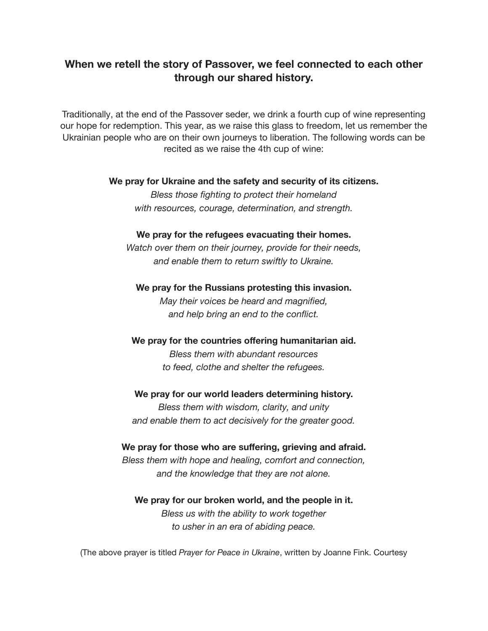## **When we retell the story of Passover, we feel connected to each other through our shared history.**

Traditionally, at the end of the Passover seder, we drink a fourth cup of wine representing our hope for redemption. This year, as we raise this glass to freedom, let us remember the Ukrainian people who are on their own journeys to liberation. The following words can be recited as we raise the 4th cup of wine:

## **We pray for Ukraine and the safety and security of its citizens.**

*Bless those fighting to protect their homeland with resources, courage, determination, and strength.*

## **We pray for the refugees evacuating their homes.**

*Watch over them on their journey, provide for their needs, and enable them to return swiftly to Ukraine.*

## **We pray for the Russians protesting this invasion.**

*May their voices be heard and magnified, and help bring an end to the conflict.*

## **We pray for the countries offering humanitarian aid.**

*Bless them with abundant resources to feed, clothe and shelter the refugees.*

#### **We pray for our world leaders determining history.**

*Bless them with wisdom, clarity, and unity and enable them to act decisively for the greater good.*

## **We pray for those who are suffering, grieving and afraid.**

*Bless them with hope and healing, comfort and connection, and the knowledge that they are not alone.*

# **We pray for our broken world, and the people in it.**

*Bless us with the ability to work together to usher in an era of abiding peace.*

(The above prayer is titled *Prayer for Peace in Ukraine*, written by Joanne Fink. Courtesy